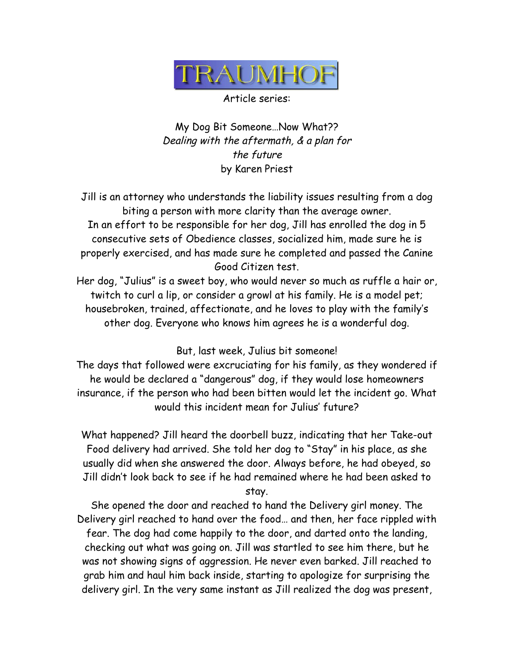

Article series:

My Dog Bit Someone…Now What?? Dealing with the aftermath, & a plan for the future by Karen Priest

Jill is an attorney who understands the liability issues resulting from a dog biting a person with more clarity than the average owner. In an effort to be responsible for her dog, Jill has enrolled the dog in 5 consecutive sets of Obedience classes, socialized him, made sure he is properly exercised, and has made sure he completed and passed the Canine Good Citizen test.

Her dog, "Julius" is a sweet boy, who would never so much as ruffle a hair or, twitch to curl a lip, or consider a growl at his family. He is a model pet; housebroken, trained, affectionate, and he loves to play with the family's other dog. Everyone who knows him agrees he is a wonderful dog.

But, last week, Julius bit someone!

The days that followed were excruciating for his family, as they wondered if he would be declared a "dangerous" dog, if they would lose homeowners insurance, if the person who had been bitten would let the incident go. What would this incident mean for Julius' future?

What happened? Jill heard the doorbell buzz, indicating that her Take-out Food delivery had arrived. She told her dog to "Stay" in his place, as she usually did when she answered the door. Always before, he had obeyed, so Jill didn't look back to see if he had remained where he had been asked to stay.

She opened the door and reached to hand the Delivery girl money. The Delivery girl reached to hand over the food… and then, her face rippled with fear. The dog had come happily to the door, and darted onto the landing, checking out what was going on. Jill was startled to see him there, but he was not showing signs of aggression. He never even barked. Jill reached to grab him and haul him back inside, starting to apologize for surprising the delivery girl. In the very same instant as Jill realized the dog was present,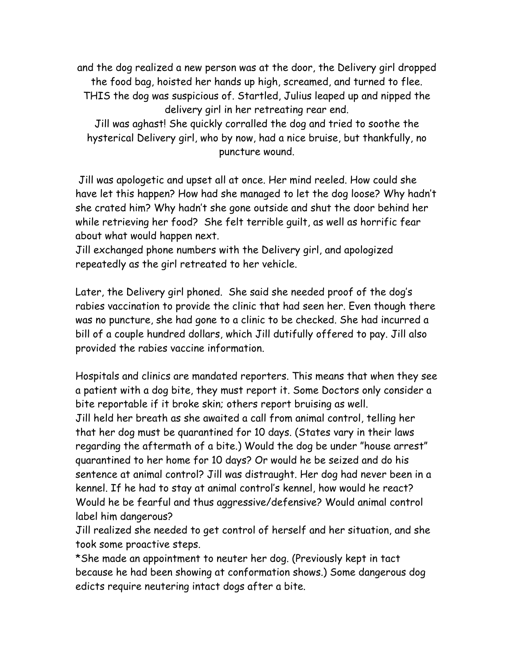and the dog realized a new person was at the door, the Delivery girl dropped the food bag, hoisted her hands up high, screamed, and turned to flee. THIS the dog was suspicious of. Startled, Julius leaped up and nipped the delivery girl in her retreating rear end. Jill was aghast! She quickly corralled the dog and tried to soothe the hysterical Delivery girl, who by now, had a nice bruise, but thankfully, no puncture wound.

Jill was apologetic and upset all at once. Her mind reeled. How could she have let this happen? How had she managed to let the dog loose? Why hadn't she crated him? Why hadn't she gone outside and shut the door behind her while retrieving her food? She felt terrible guilt, as well as horrific fear about what would happen next.

Jill exchanged phone numbers with the Delivery girl, and apologized repeatedly as the girl retreated to her vehicle.

Later, the Delivery girl phoned. She said she needed proof of the dog's rabies vaccination to provide the clinic that had seen her. Even though there was no puncture, she had gone to a clinic to be checked. She had incurred a bill of a couple hundred dollars, which Jill dutifully offered to pay. Jill also provided the rabies vaccine information.

Hospitals and clinics are mandated reporters. This means that when they see a patient with a dog bite, they must report it. Some Doctors only consider a bite reportable if it broke skin; others report bruising as well. Jill held her breath as she awaited a call from animal control, telling her that her dog must be quarantined for 10 days. (States vary in their laws regarding the aftermath of a bite.) Would the dog be under "house arrest" quarantined to her home for 10 days? Or would he be seized and do his sentence at animal control? Jill was distraught. Her dog had never been in a kennel. If he had to stay at animal control's kennel, how would he react? Would he be fearful and thus aggressive/defensive? Would animal control label him dangerous?

Jill realized she needed to get control of herself and her situation, and she took some proactive steps.

\*She made an appointment to neuter her dog. (Previously kept in tact because he had been showing at conformation shows.) Some dangerous dog edicts require neutering intact dogs after a bite.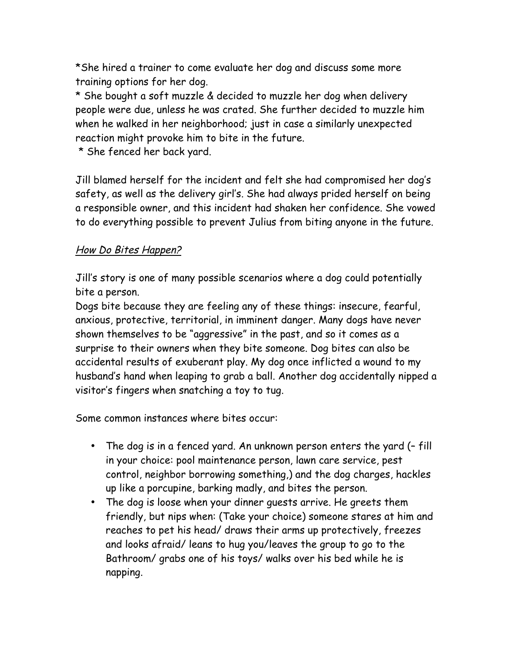\*She hired a trainer to come evaluate her dog and discuss some more training options for her dog.

\* She bought a soft muzzle & decided to muzzle her dog when delivery people were due, unless he was crated. She further decided to muzzle him when he walked in her neighborhood; just in case a similarly unexpected reaction might provoke him to bite in the future.

\* She fenced her back yard.

Jill blamed herself for the incident and felt she had compromised her dog's safety, as well as the delivery girl's. She had always prided herself on being a responsible owner, and this incident had shaken her confidence. She vowed to do everything possible to prevent Julius from biting anyone in the future.

## How Do Bites Happen?

Jill's story is one of many possible scenarios where a dog could potentially bite a person.

Dogs bite because they are feeling any of these things: insecure, fearful, anxious, protective, territorial, in imminent danger. Many dogs have never shown themselves to be "aggressive" in the past, and so it comes as a surprise to their owners when they bite someone. Dog bites can also be accidental results of exuberant play. My dog once inflicted a wound to my husband's hand when leaping to grab a ball. Another dog accidentally nipped a visitor's fingers when snatching a toy to tug.

Some common instances where bites occur:

- The dog is in a fenced yard. An unknown person enters the yard (– fill in your choice: pool maintenance person, lawn care service, pest control, neighbor borrowing something,) and the dog charges, hackles up like a porcupine, barking madly, and bites the person.
- The dog is loose when your dinner guests arrive. He greets them friendly, but nips when: (Take your choice) someone stares at him and reaches to pet his head/ draws their arms up protectively, freezes and looks afraid/ leans to hug you/leaves the group to go to the Bathroom/ grabs one of his toys/ walks over his bed while he is napping.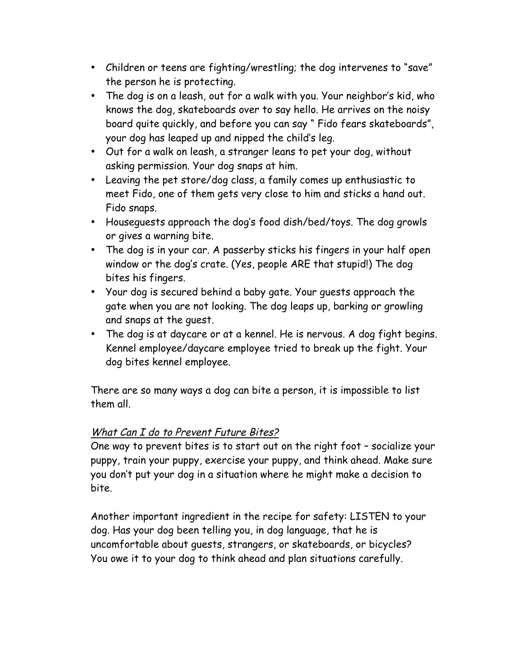- Children or teens are fighting/wrestling; the dog intervenes to "save" the person he is protecting.
- The dog is on a leash, out for a walk with you. Your neighbor's kid, who knows the dog, skateboards over to say hello. He arrives on the noisy board quite quickly, and before you can say " Fido fears skateboards", your dog has leaped up and nipped the child's leg.
- Out for a walk on leash, a stranger leans to pet your dog, without asking permission. Your dog snaps at him.
- Leaving the pet store/dog class, a family comes up enthusiastic to meet Fido, one of them gets very close to him and sticks a hand out. Fido snaps.
- Houseguests approach the dog's food dish/bed/toys. The dog growls or gives a warning bite.
- The dog is in your car. A passerby sticks his fingers in your half open window or the dog's crate. (Yes, people ARE that stupid!) The dog bites his fingers.
- Your dog is secured behind a baby gate. Your guests approach the gate when you are not looking. The dog leaps up, barking or growling and snaps at the guest.
- The dog is at daycare or at a kennel. He is nervous. A dog fight begins. Kennel employee/daycare employee tried to break up the fight. Your dog bites kennel employee.

There are so many ways a dog can bite a person, it is impossible to list them all.

## What Can I do to Prevent Future Bites?

One way to prevent bites is to start out on the right foot – socialize your puppy, train your puppy, exercise your puppy, and think ahead. Make sure you don't put your dog in a situation where he might make a decision to bite.

Another important ingredient in the recipe for safety: LISTEN to your dog. Has your dog been telling you, in dog language, that he is uncomfortable about guests, strangers, or skateboards, or bicycles? You owe it to your dog to think ahead and plan situations carefully.